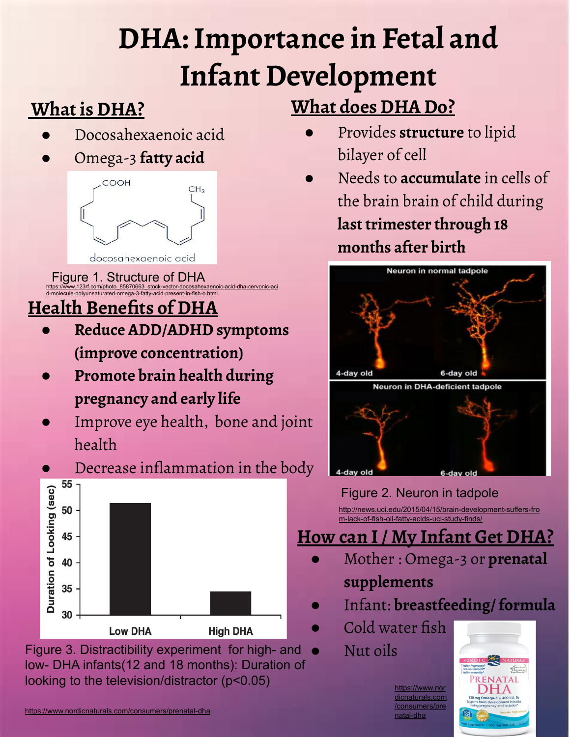## **DHA: Importance in Fetal and Infant Development**

### **What is DHA?**

- Docosahexaenoic acid
- Omega-3 **fatty acid**



#### [https://www.123rf.com/photo\\_85870663\\_stock-vector-docosahexaenoic-acid-dha-cervonic-aci](https://www.123rf.com/photo_85870663_stock-vector-docosahexaenoic-acid-dha-cervonic-acid-molecule-polyunsaturated-omega-3-fatty-acid-present-in-fish-o.html) [d-molecule-polyunsaturated-omega-3-fatty-acid-present-in-fish-o.html](https://www.123rf.com/photo_85870663_stock-vector-docosahexaenoic-acid-dha-cervonic-acid-molecule-polyunsaturated-omega-3-fatty-acid-present-in-fish-o.html) Figure 1. Structure of DHA

### **Health Benefits of DHA**

- **● Reduce ADD/ADHD symptoms (improve concentration)**
- **● Promote brain health during pregnancy and early life**
- Improve eye health, bone and joint health





Figure 3. Distractibility experiment for high- and low- DHA infants(12 and 18 months): Duration of looking to the television/distractor (p<0.05)

- Provides **structure** to lipid bilayer of cell
- Needs to **accumulate** in cells of the brain brain of child during **last trimester through 18 months after birth**



#### Figure 2. Neuron in tadpole

[http://news.uci.edu/2015/04/15/brain-development-suffers-fro](http://news.uci.edu/2015/04/15/brain-development-suffers-from-lack-of-fish-oil-fatty-acids-uci-study-finds/) [m-lack-of-fish-oil-fatty-acids-uci-study-finds/](http://news.uci.edu/2015/04/15/brain-development-suffers-from-lack-of-fish-oil-fatty-acids-uci-study-finds/)

#### **How can I / My Infant Get DHA?**

- Mother : Omega-3 or **prenatal supplements**
- Infant: **breastfeeding/ formula**
- Cold water fish
	- Nut oils

[https://www.nor](https://www.nordicnaturals.com/consumers/prenatal-dha) [dicnaturals.com](https://www.nordicnaturals.com/consumers/prenatal-dha) [/consumers/pre](https://www.nordicnaturals.com/consumers/prenatal-dha) [natal-dha](https://www.nordicnaturals.com/consumers/prenatal-dha)